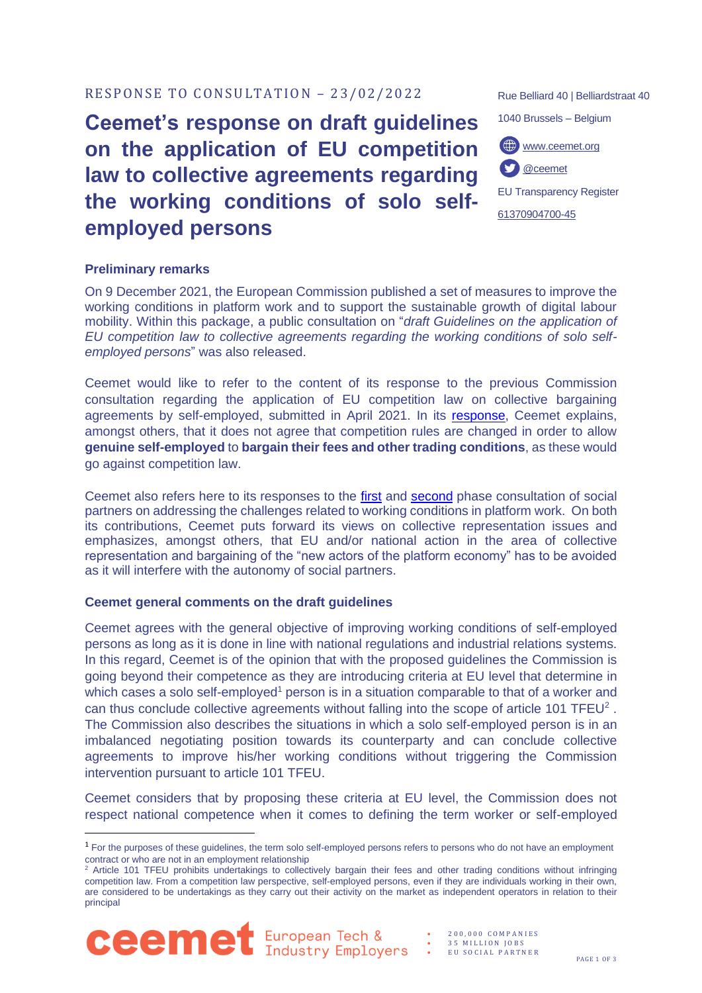#### • 2 0 0 , 0 0 0 C O M P A N I E S 35 MILLION JOBS

EU SOCIAL PARTNER

## RESPONSE TO CONSULTATION - 23/02/2022

# **Ceemet's response on draft guidelines on the application of EU competition law to collective agreements regarding the working conditions of solo selfemployed persons**

#### **Preliminary remarks**

On 9 December 2021, the European Commission published a set of measures to improve the working conditions in platform work and to support the sustainable growth of digital labour mobility. Within this package, a public consultation on "*draft Guidelines on the application of EU competition law to collective agreements regarding the working conditions of solo selfemployed persons*" was also released.

Ceemet would like to refer to the content of its response to the previous Commission consultation regarding the application of EU competition law on collective bargaining agreements by self-employed, submitted in April 2021. In its [response,](https://www.ceemet.org/position-papers/agile-labour-markets/consultation-on-collective-bargaining-agreements-by-self-employed/) Ceemet explains, amongst others, that it does not agree that competition rules are changed in order to allow **genuine self-employed** to **bargain their fees and other trading conditions**, as these would go against competition law.

Ceemet also refers here to its responses to the [first](https://www.ceemet.org/position-papers/agile-labour-markets/response-to-first-phase-consultation-of-social-partners-on-addressing-the-challenges-related-to-working-conditions-in-platform/) and [second](https://www.ceemet.org/position-papers/category-1/response-to-2nd-phase-consultation-on-platform-work/) phase consultation of social partners on addressing the challenges related to working conditions in platform work. On both its contributions, Ceemet puts forward its views on collective representation issues and emphasizes, amongst others, that EU and/or national action in the area of collective representation and bargaining of the "new actors of the platform economy" has to be avoided as it will interfere with the autonomy of social partners.

### **Ceemet general comments on the draft guidelines**

Ceemet agrees with the general objective of improving working conditions of self-employed persons as long as it is done in line with national regulations and industrial relations systems. In this regard, Ceemet is of the opinion that with the proposed guidelines the Commission is going beyond their competence as they are introducing criteria at EU level that determine in which cases a solo self-employed<sup>1</sup> person is in a situation comparable to that of a worker and can thus conclude collective agreements without falling into the scope of article 101 TFEU<sup>2</sup>. The Commission also describes the situations in which a solo self-employed person is in an imbalanced negotiating position towards its counterparty and can conclude collective agreements to improve his/her working conditions without triggering the Commission intervention pursuant to article 101 TFEU.

Ceemet considers that by proposing these criteria at EU level, the Commission does not respect national competence when it comes to defining the term worker or self-employed

<sup>&</sup>lt;sup>2</sup> Article 101 TFEU prohibits undertakings to collectively bargain their fees and other trading conditions without infringing competition law. From a competition law perspective, self-employed persons, even if they are individuals working in their own, are considered to be undertakings as they carry out their activity on the market as independent operators in relation to their principal



1040 Brussels – Belgium [www.ceemet.org](http://www.ceemet.org/) M [@ceemet](https://twitter.com/CEEMET)EU Transparency Register [61370904700-45](http://ec.europa.eu/transparencyregister/public/consultation/displaylobbyist.do?id=61370904700-45&isListLobbyistView=true)

Rue Belliard 40 | Belliardstraat 40

 $<sup>1</sup>$  For the purposes of these guidelines, the term solo self-employed persons refers to persons who do not have an employment</sup> contract or who are not in an employment relationship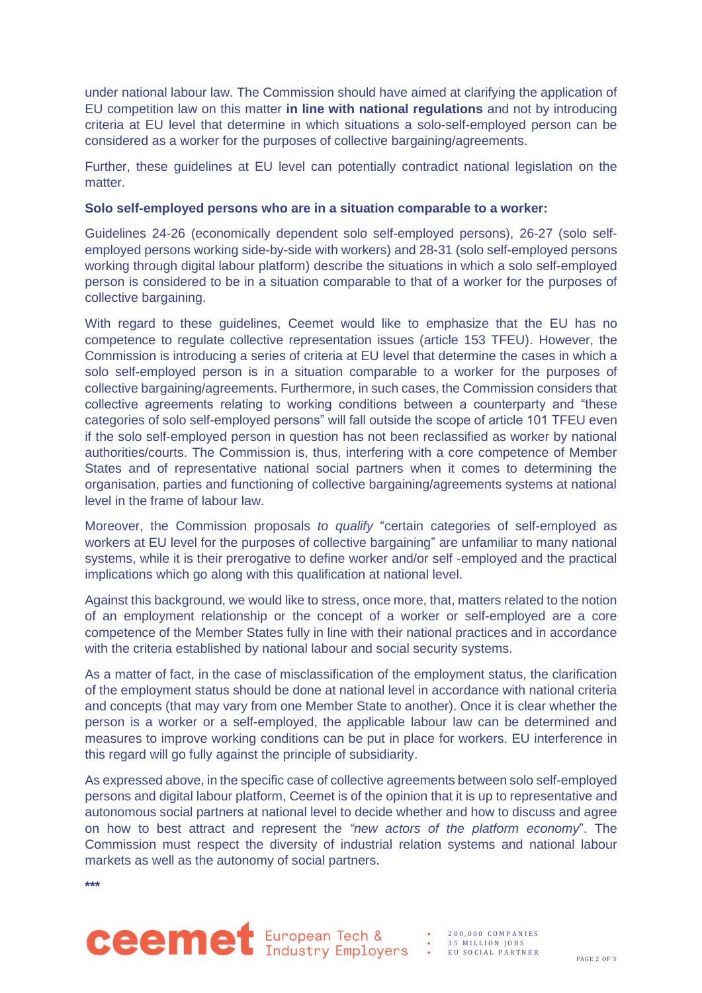under national labour law. The Commission should have aimed at clarifying the application of EU competition law on this matter **in line with national regulations** and not by introducing criteria at EU level that determine in which situations a solo-self-employed person can be considered as a worker for the purposes of collective bargaining/agreements.

Further, these guidelines at EU level can potentially contradict national legislation on the matter

#### **Solo self-employed persons who are in a situation comparable to a worker:**

Guidelines 24-26 (economically dependent solo self-employed persons), 26-27 (solo selfemployed persons working side-by-side with workers) and 28-31 (solo self-employed persons working through digital labour platform) describe the situations in which a solo self-employed person is considered to be in a situation comparable to that of a worker for the purposes of collective bargaining.

With regard to these guidelines, Ceemet would like to emphasize that the EU has no competence to regulate collective representation issues (article 153 TFEU). However, the Commission is introducing a series of criteria at EU level that determine the cases in which a solo self-employed person is in a situation comparable to a worker for the purposes of collective bargaining/agreements. Furthermore, in such cases, the Commission considers that collective agreements relating to working conditions between a counterparty and "these categories of solo self-employed persons" will fall outside the scope of article 101 TFEU even if the solo self-employed person in question has not been reclassified as worker by national authorities/courts. The Commission is, thus, interfering with a core competence of Member States and of representative national social partners when it comes to determining the organisation, parties and functioning of collective bargaining/agreements systems at national level in the frame of labour law.

Moreover, the Commission proposals *to qualify* "certain categories of self-employed as workers at EU level for the purposes of collective bargaining" are unfamiliar to many national systems, while it is their prerogative to define worker and/or self -employed and the practical implications which go along with this qualification at national level.

Against this background, we would like to stress, once more, that, matters related to the notion of an employment relationship or the concept of a worker or self-employed are a core competence of the Member States fully in line with their national practices and in accordance with the criteria established by national labour and social security systems.

As a matter of fact, in the case of misclassification of the employment status, the clarification of the employment status should be done at national level in accordance with national criteria and concepts (that may vary from one Member State to another). Once it is clear whether the person is a worker or a self-employed, the applicable labour law can be determined and measures to improve working conditions can be put in place for workers. EU interference in this regard will go fully against the principle of subsidiarity.

As expressed above, in the specific case of collective agreements between solo self-employed persons and digital labour platform, Ceemet is of the opinion that it is up to representative and autonomous social partners at national level to decide whether and how to discuss and agree on how to best attract and represent the *"new actors of the platform economy*". The Commission must respect the diversity of industrial relation systems and national labour markets as well as the autonomy of social partners.

**\*\*\***



• 2 0 0 , 0 0 0 C O M P A N I E S 35 MILLION JOBS • E U S O C I A L P A R T N E R